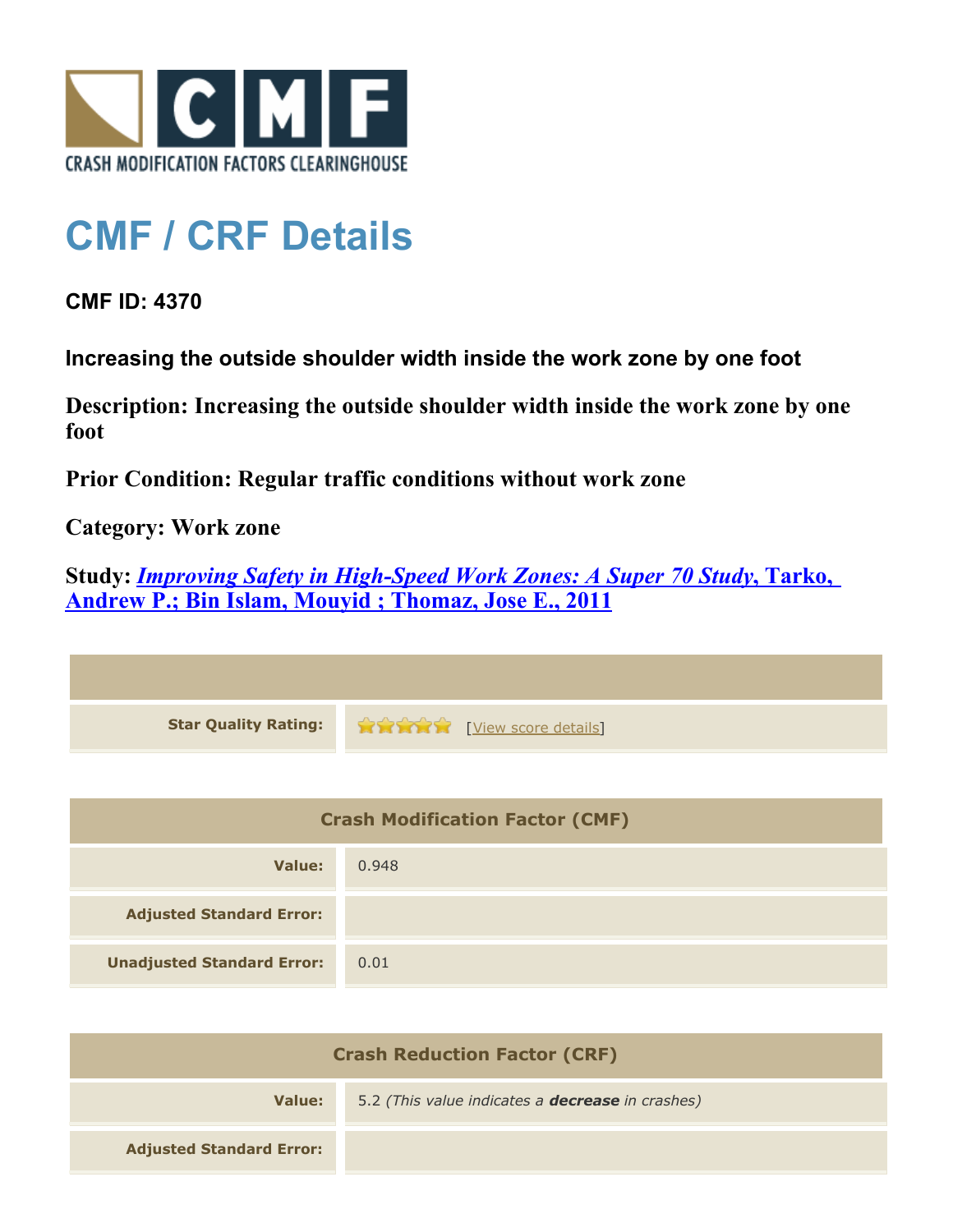

## **CMF / CRF Details**

**CMF ID: 4370**

**Increasing the outside shoulder width inside the work zone by one foot**

**Description: Increasing the outside shoulder width inside the work zone by one foot**

**Prior Condition: Regular traffic conditions without work zone**

**Category: Work zone**

**Study:** *[Improving Safety in High-Speed Work Zones: A Super 70 Study](http://www.cmfclearinghouse.org/study_detail.cfm?stid=295)***[, Tarko,](http://www.cmfclearinghouse.org/study_detail.cfm?stid=295) [Andrew P.; Bin Islam, Mouyid ; Thomaz, Jose E., 2011](http://www.cmfclearinghouse.org/study_detail.cfm?stid=295)**

| <b>Star Quality Rating:</b> | <b>THE EXAMPLE THE EXAMPLE TO THE EXAMPLE OF THE EXAMPLE THE EXAMPLE THE EXAMPLE THE EXAMPLE THE EXAMPLE THE EXAMPLE THE EXAMPLE THE EXAMPLE THE EXAMPLE THE EXAMPLE THE EXAMPLE THE EXAMPLE THE EXAMPLE THE EXAMPLE THE EXAMPLE</b> |
|-----------------------------|--------------------------------------------------------------------------------------------------------------------------------------------------------------------------------------------------------------------------------------|

| <b>Crash Modification Factor (CMF)</b> |       |
|----------------------------------------|-------|
| Value:                                 | 0.948 |
| <b>Adjusted Standard Error:</b>        |       |
| <b>Unadjusted Standard Error:</b>      | 0.01  |

| <b>Crash Reduction Factor (CRF)</b> |                                                         |
|-------------------------------------|---------------------------------------------------------|
| Value:                              | 5.2 (This value indicates a <b>decrease</b> in crashes) |
| <b>Adjusted Standard Error:</b>     |                                                         |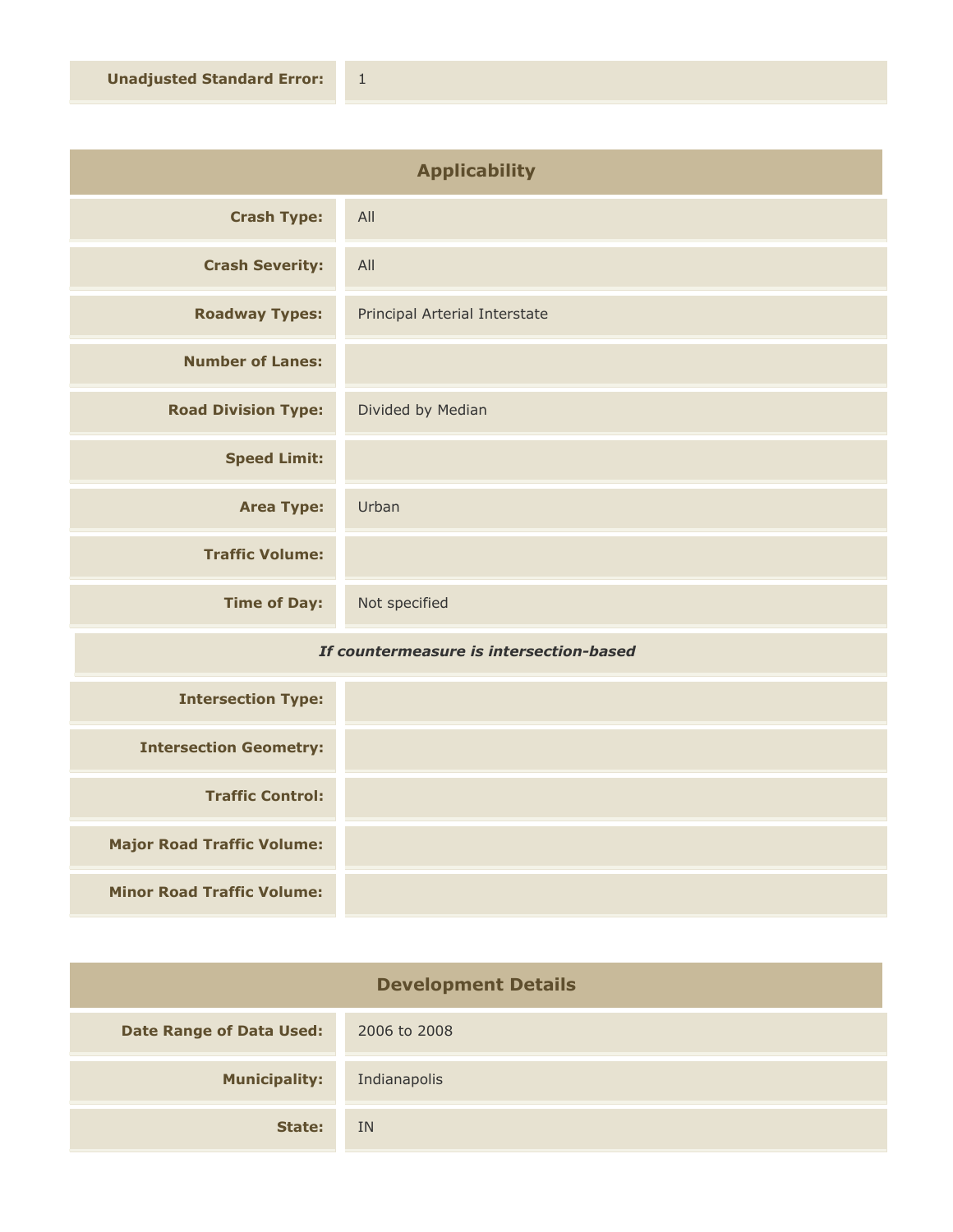| <b>Applicability</b>       |                               |
|----------------------------|-------------------------------|
| <b>Crash Type:</b>         | All                           |
| <b>Crash Severity:</b>     | All                           |
| <b>Roadway Types:</b>      | Principal Arterial Interstate |
| <b>Number of Lanes:</b>    |                               |
| <b>Road Division Type:</b> | Divided by Median             |
| <b>Speed Limit:</b>        |                               |
| <b>Area Type:</b>          | Urban                         |
| <b>Traffic Volume:</b>     |                               |
| <b>Time of Day:</b>        | Not specified                 |

## *If countermeasure is intersection-based*

| <b>Intersection Type:</b>         |  |
|-----------------------------------|--|
| <b>Intersection Geometry:</b>     |  |
| <b>Traffic Control:</b>           |  |
| <b>Major Road Traffic Volume:</b> |  |
| <b>Minor Road Traffic Volume:</b> |  |

| <b>Development Details</b>      |              |
|---------------------------------|--------------|
| <b>Date Range of Data Used:</b> | 2006 to 2008 |
| <b>Municipality:</b>            | Indianapolis |
| State:                          | <b>IN</b>    |